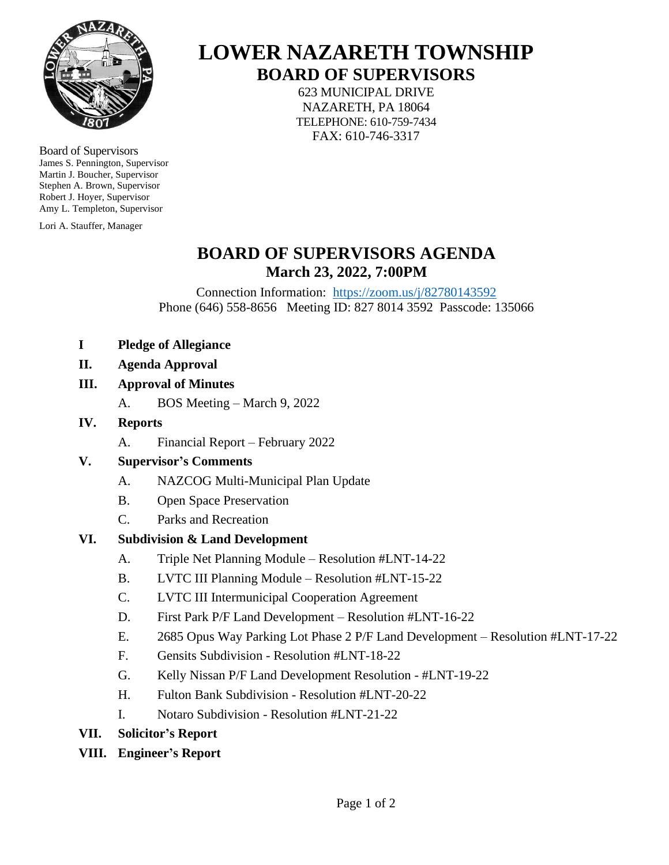

Board of Supervisors James S. Pennington, Supervisor Martin J. Boucher, Supervisor Stephen A. Brown, Supervisor Robert J. Hoyer, Supervisor Amy L. Templeton, Supervisor

Lori A. Stauffer, Manager

# **LOWER NAZARETH TOWNSHIP BOARD OF SUPERVISORS**

623 MUNICIPAL DRIVE NAZARETH, PA 18064 TELEPHONE: 610-759-7434 FAX: 610-746-3317

# **BOARD OF SUPERVISORS AGENDA March 23, 2022, 7:00PM**

Connection Information: <https://zoom.us/j/82780143592> Phone (646) 558-8656 Meeting ID: 827 8014 3592 Passcode: 135066

- **I Pledge of Allegiance**
- **II. Agenda Approval**
- **III. Approval of Minutes**
	- A. BOS Meeting March 9, 2022
- **IV. Reports**
	- A. Financial Report February 2022

### **V. Supervisor's Comments**

- A. NAZCOG Multi-Municipal Plan Update
- B. Open Space Preservation
- C. Parks and Recreation

#### **VI. Subdivision & Land Development**

- A. Triple Net Planning Module Resolution #LNT-14-22
- B. LVTC III Planning Module Resolution #LNT-15-22
- C. LVTC III Intermunicipal Cooperation Agreement
- D. First Park P/F Land Development Resolution #LNT-16-22
- E. 2685 Opus Way Parking Lot Phase 2 P/F Land Development Resolution #LNT-17-22
- F. Gensits Subdivision Resolution #LNT-18-22
- G. Kelly Nissan P/F Land Development Resolution #LNT-19-22
- H. Fulton Bank Subdivision Resolution #LNT-20-22
- I. Notaro Subdivision Resolution #LNT-21-22
- **VII. Solicitor's Report**
- **VIII. Engineer's Report**